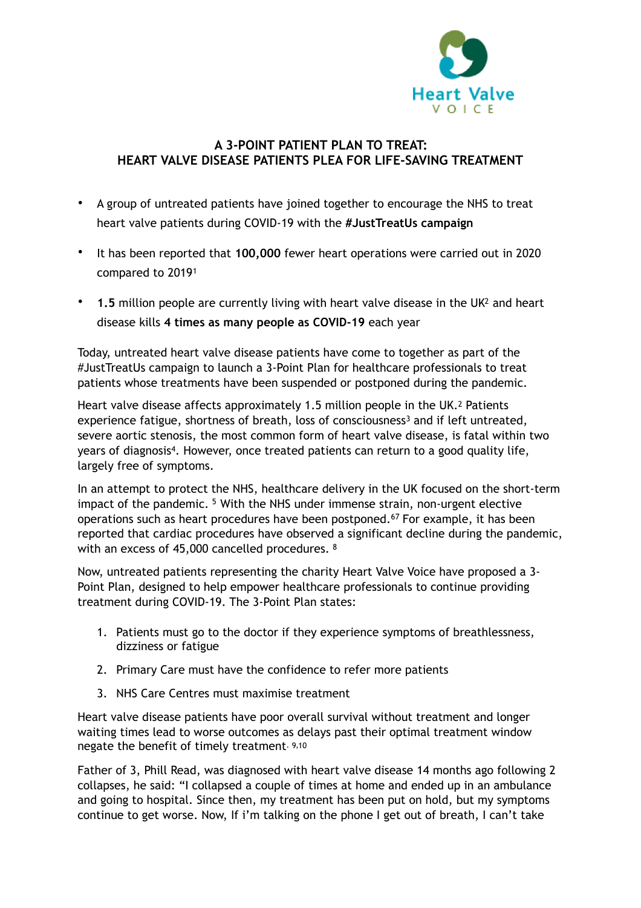<span id="page-0-1"></span>

## **A 3-POINT PATIENT PLAN TO TREAT: HEART VALVE DISEASE PATIENTS PLEA FOR LIFE-SAVING TREATMENT**

- A group of untreated patients have joined together to encourage the NHS to treat heart valve patients during COVID-19 with the **#JustTreatUs campaign**
- <span id="page-0-0"></span>• It has been reported that **100,000** fewer heart operations were carried out in 2020 compared to 2019<sup>1</sup>
- **1.5** million people are currently living with heart valve disease in the U[K](#page-2-1)<sup>[2](#page-2-1)</sup> and heart disease kills **4 times as many people as COVID-19** each year

Today, untreated heart valve disease patients have come to together as part of the #JustTreatUs campaign to launch a 3-Point Plan for healthcare professionals to treat patients whose treatments have been suspended or postponed during the pandemic.

<span id="page-0-2"></span>Heart valve disease affects approximately 1.5 million people in the UK.2 Patients experiencefatigue, shortness of breath, loss of consciousness<sup>[3](#page-2-2)</sup> and if left untreated, severe aortic stenosis, the most common form of heart valve disease, is fatal within two years of diagnosis<sup>4</sup>[.](#page-2-3) However, once treated patients can return to a good quality life, largely free of symptoms.

<span id="page-0-4"></span><span id="page-0-3"></span>In an attempt to protect the NHS, healthcare delivery in the UK focused on the short-term impactof the pandemic.  $5$  With the NHS under immense strain, non-urgent elective operations such as heart procedures have been postponed.<sup>[6](#page-2-5)[7](#page-2-6)</sup> For example, it has been reported that cardiac procedures have observed a significant decline during the pandemic, with an excess of 45,000 cancelled procedures. <sup>8</sup>

Now, untreated patients representing the charity Heart Valve Voice have proposed a 3- Point Plan, designed to help empower healthcare professionals to continue providing treatment during COVID-19. The 3-Point Plan states:

- <span id="page-0-7"></span><span id="page-0-6"></span><span id="page-0-5"></span>1. Patients must go to the doctor if they experience symptoms of breathlessness, dizziness or fatigue
- 2. Primary Care must have the confidence to refer more patients
- <span id="page-0-9"></span><span id="page-0-8"></span>3. NHS Care Centres must maximise treatment

Heart valve disease patients have poor overall survival without treatment and longer waiting times lead to worse outcomes as delays past their optimal treatment window negate the benefit of timely treatment. [9,](#page-2-8)[10](#page-2-9)

Father of 3, Phill Read, was diagnosed with heart valve disease 14 months ago following 2 collapses, he said: "I collapsed a couple of times at home and ended up in an ambulance and going to hospital. Since then, my treatment has been put on hold, but my symptoms continue to get worse. Now, If i'm talking on the phone I get out of breath, I can't take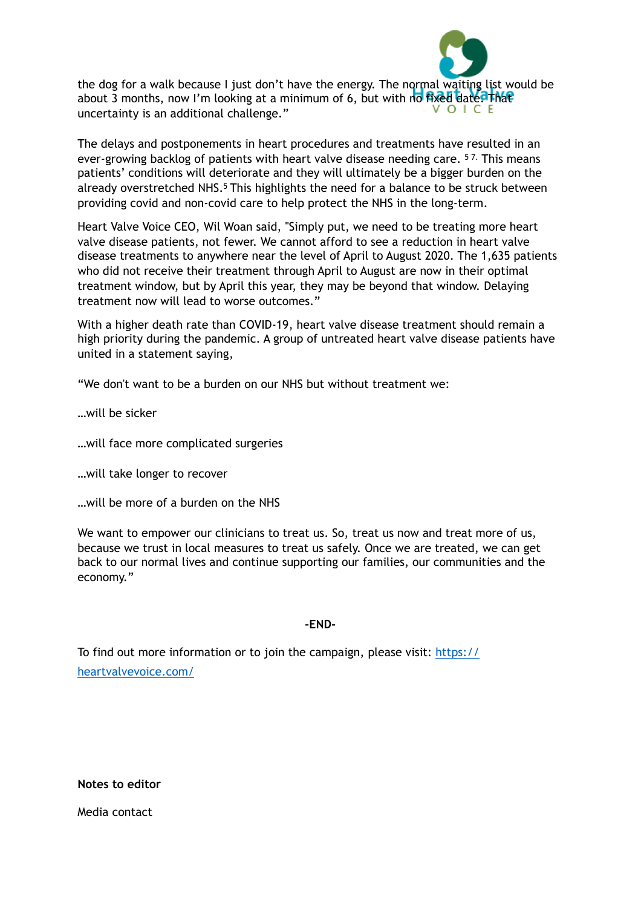

the dog for a walk because I just don't have the energy. The normal waiting list would be about 3 months, now I'm looking at a minimum of 6, but with no fixed date. That uncertainty is an additional challenge."

The delays and postponements in heart procedures and treatments have resulted in an ever-growing backlog of patients with heart valve disease needing care. <sup>57</sup> This means patients' conditions will deteriorate and they will ultimately be a bigger burden on the already overstretched NHS.<sup>5</sup> This highlights the need for a balance to be struck between providing covid and non-covid care to help protect the NHS in the long-term.

Heart Valve Voice CEO, Wil Woan said, "Simply put, we need to be treating more heart valve disease patients, not fewer. We cannot afford to see a reduction in heart valve disease treatments to anywhere near the level of April to August 2020. The 1,635 patients who did not receive their treatment through April to August are now in their optimal treatment window, but by April this year, they may be beyond that window. Delaying treatment now will lead to worse outcomes."

With a higher death rate than COVID-19, heart valve disease treatment should remain a high priority during the pandemic. A group of untreated heart valve disease patients have united in a statement saying,

"We don't want to be a burden on our NHS but without treatment we:

…will be sicker

…will face more complicated surgeries

…will take longer to recover

…will be more of a burden on the NHS

We want to empower our clinicians to treat us. So, treat us now and treat more of us, because we trust in local measures to treat us safely. Once we are treated, we can get back to our normal lives and continue supporting our families, our communities and the economy."

**-END-**

To find out more information or to join the campaign, please visit: [https://](https://heartvalvevoice.com/) [heartvalvevoice.com/](https://heartvalvevoice.com/)

**Notes to editor** 

Media contact